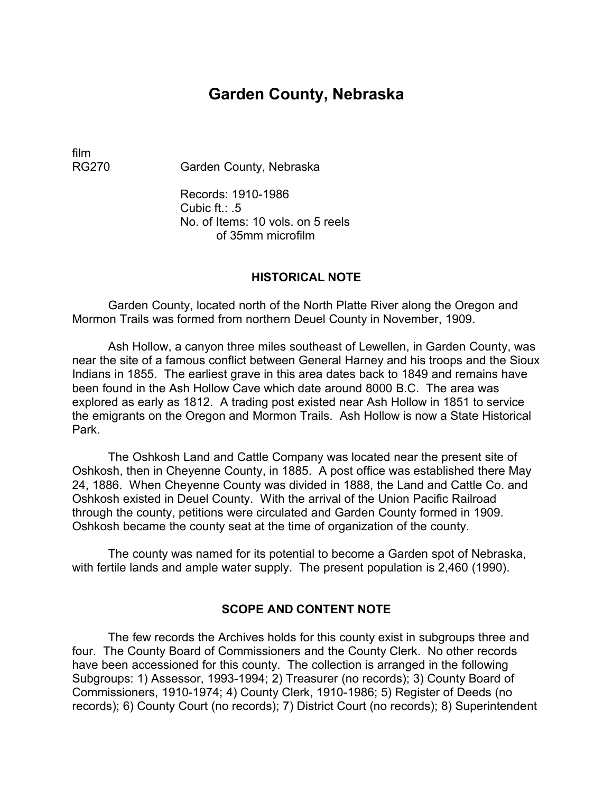## **Garden County, Nebraska**

film

RG270 Garden County, Nebraska

Records: 1910-1986 Cubic ft.: .5 No. of Items: 10 vols. on 5 reels of 35mm microfilm

#### **HISTORICAL NOTE**

Garden County, located north of the North Platte River along the Oregon and Mormon Trails was formed from northern Deuel County in November, 1909.

Ash Hollow, a canyon three miles southeast of Lewellen, in Garden County, was near the site of a famous conflict between General Harney and his troops and the Sioux Indians in 1855. The earliest grave in this area dates back to 1849 and remains have been found in the Ash Hollow Cave which date around 8000 B.C. The area was explored as early as 1812. A trading post existed near Ash Hollow in 1851 to service the emigrants on the Oregon and Mormon Trails. Ash Hollow is now a State Historical Park.

The Oshkosh Land and Cattle Company was located near the present site of Oshkosh, then in Cheyenne County, in 1885. A post office was established there May 24, 1886. When Cheyenne County was divided in 1888, the Land and Cattle Co. and Oshkosh existed in Deuel County. With the arrival of the Union Pacific Railroad through the county, petitions were circulated and Garden County formed in 1909. Oshkosh became the county seat at the time of organization of the county.

The county was named for its potential to become a Garden spot of Nebraska, with fertile lands and ample water supply. The present population is 2,460 (1990).

#### **SCOPE AND CONTENT NOTE**

The few records the Archives holds for this county exist in subgroups three and four. The County Board of Commissioners and the County Clerk. No other records have been accessioned for this county. The collection is arranged in the following Subgroups: 1) Assessor, 1993-1994; 2) Treasurer (no records); 3) County Board of Commissioners, 1910-1974; 4) County Clerk, 1910-1986; 5) Register of Deeds (no records); 6) County Court (no records); 7) District Court (no records); 8) Superintendent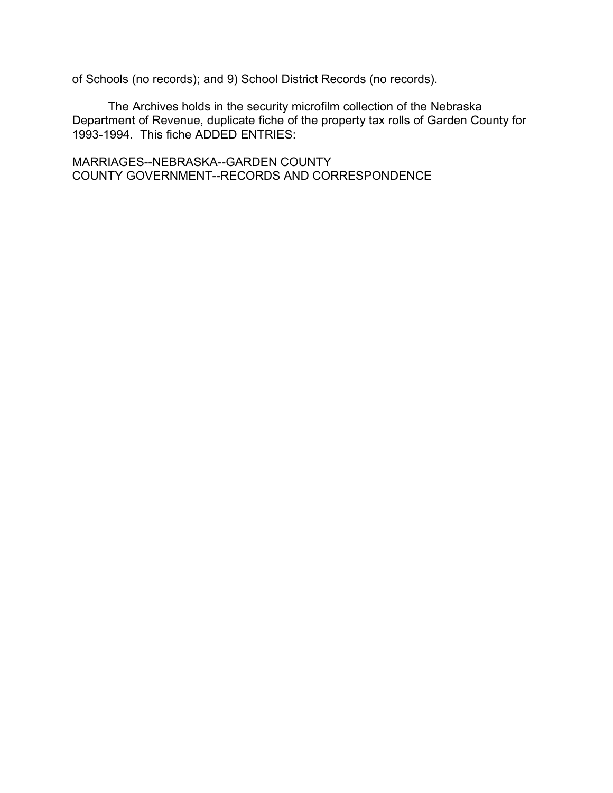of Schools (no records); and 9) School District Records (no records).

The Archives holds in the security microfilm collection of the Nebraska Department of Revenue, duplicate fiche of the property tax rolls of Garden County for 1993-1994. This fiche ADDED ENTRIES:

MARRIAGES--NEBRASKA--GARDEN COUNTY COUNTY GOVERNMENT--RECORDS AND CORRESPONDENCE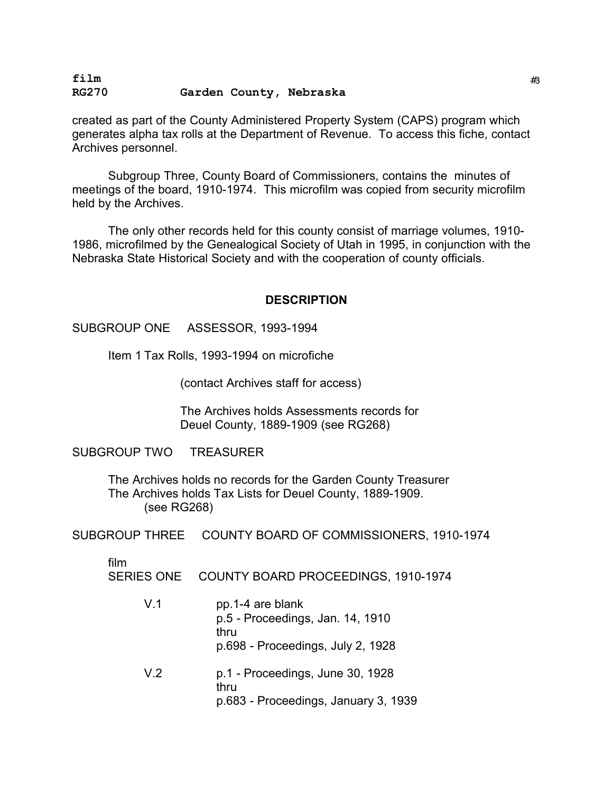#### **film** #<sup>3</sup> **RG270 Garden County, Nebraska**

created as part of the County Administered Property System (CAPS) program which generates alpha tax rolls at the Department of Revenue. To access this fiche, contact Archives personnel.

Subgroup Three, County Board of Commissioners, contains the minutes of meetings of the board, 1910-1974. This microfilm was copied from security microfilm held by the Archives.

The only other records held for this county consist of marriage volumes, 1910- 1986, microfilmed by the Genealogical Society of Utah in 1995, in conjunction with the Nebraska State Historical Society and with the cooperation of county officials.

#### **DESCRIPTION**

#### SUBGROUP ONE ASSESSOR, 1993-1994

Item 1 Tax Rolls, 1993-1994 on microfiche

(contact Archives staff for access)

The Archives holds Assessments records for Deuel County, 1889-1909 (see RG268)

SUBGROUP TWO TREASURER

The Archives holds no records for the Garden County Treasurer The Archives holds Tax Lists for Deuel County, 1889-1909. (see RG268)

SUBGROUP THREE COUNTY BOARD OF COMMISSIONERS, 1910-1974

film

| <b>SERIES ONE</b> | COUNTY BOARD PROCEEDINGS, 1910-1974 |  |
|-------------------|-------------------------------------|--|
|-------------------|-------------------------------------|--|

V.1 pp.1-4 are blank p.5 - Proceedings, Jan. 14, 1910 thru p.698 - Proceedings, July 2, 1928 V.2 p.1 - Proceedings, June 30, 1928 thru p.683 - Proceedings, January 3, 1939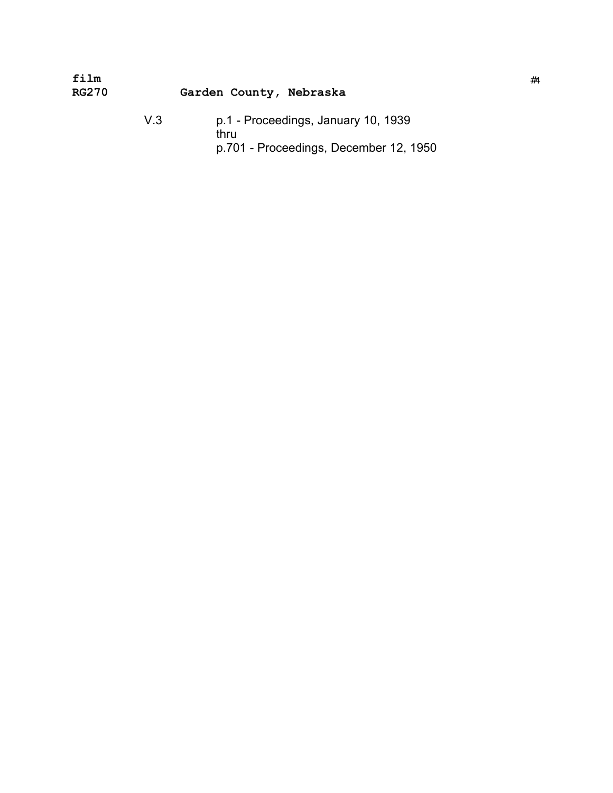| film<br><b>RG270</b> | Garden County, Nebraska |                                                                                       | #4 |
|----------------------|-------------------------|---------------------------------------------------------------------------------------|----|
|                      | V 3                     | p.1 - Proceedings, January 10, 1939<br>thru<br>p.701 - Proceedings, December 12, 1950 |    |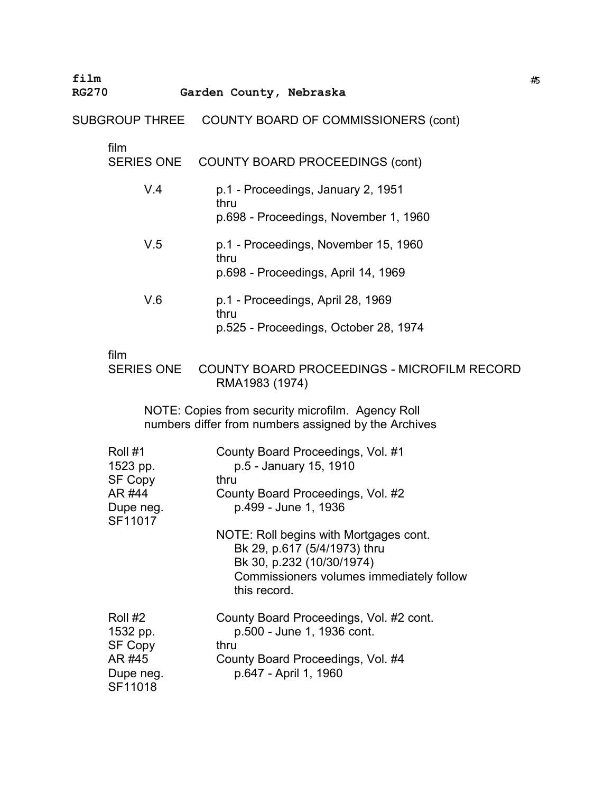**film** #<sup>5</sup>

#### **RG270 Garden County, Nebraska**

SUBGROUP THREE COUNTY BOARD OF COMMISSIONERS (cont)

# film<br>SEF

| SERIES ONE | <b>COUNTY BOARD PROCEEDINGS (cont)</b> |
|------------|----------------------------------------|
|------------|----------------------------------------|

| V.4 | p.1 - Proceedings, January 2, 1951<br>thru<br>p.698 - Proceedings, November 1, 1960 |
|-----|-------------------------------------------------------------------------------------|
| V.5 | p.1 - Proceedings, November 15, 1960<br>thru<br>p.698 - Proceedings, April 14, 1969 |
| V.6 | p.1 - Proceedings, April 28, 1969<br>.                                              |

thru p.525 - Proceedings, October 28, 1974

#### film

SERIES ONE COUNTY BOARD PROCEEDINGS - MICROFILM RECORD RMA1983 (1974)

NOTE: Copies from security microfilm. Agency Roll numbers differ from numbers assigned by the Archives

| Roll #1<br>1523 pp.<br><b>SF Copy</b><br>AR #44<br>Dupe neg.<br>SF11017 | County Board Proceedings, Vol. #1<br>p.5 - January 15, 1910<br>thru<br>County Board Proceedings, Vol. #2<br>p.499 - June 1, 1936                                |
|-------------------------------------------------------------------------|-----------------------------------------------------------------------------------------------------------------------------------------------------------------|
|                                                                         | NOTE: Roll begins with Mortgages cont.<br>Bk 29, p.617 (5/4/1973) thru<br>Bk 30, p.232 (10/30/1974)<br>Commissioners volumes immediately follow<br>this record. |
| Roll #2<br>1532 pp.<br><b>SF Copy</b><br>AR #45<br>Dupe neg.<br>SF11018 | County Board Proceedings, Vol. #2 cont.<br>p.500 - June 1, 1936 cont.<br>thru<br>County Board Proceedings, Vol. #4<br>p.647 - April 1, 1960                     |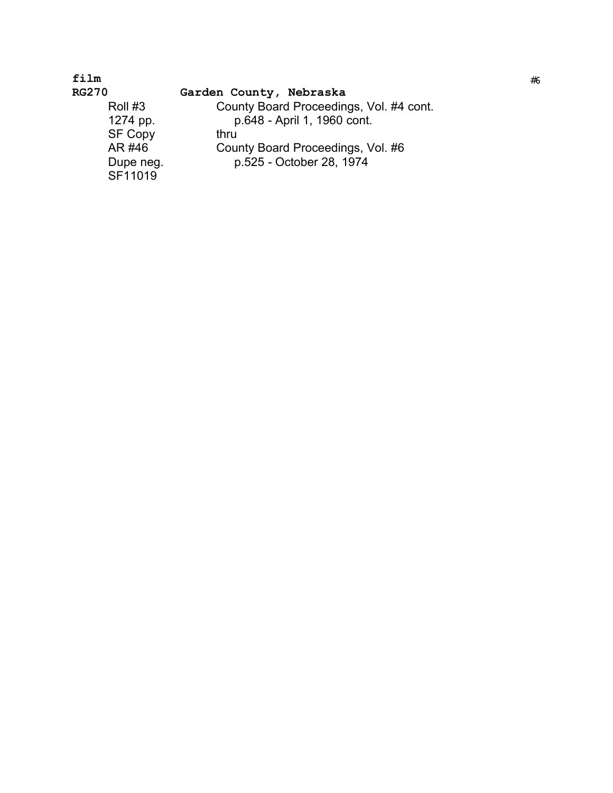### **film**

**RG270** 

#### **Garden County, Nebraska**

Roll #3<br>1274 pp. County Board Proceedings, Vol. #4 cont. p. 648 - April 1, 1960 cont. SF Copy thru<br>AR #46 Cour AR #46 County Board Proceedings, Vol. #6<br>Dupe neg. p.525 - October 28, 1974 p.525 - October 28, 1974 SF11019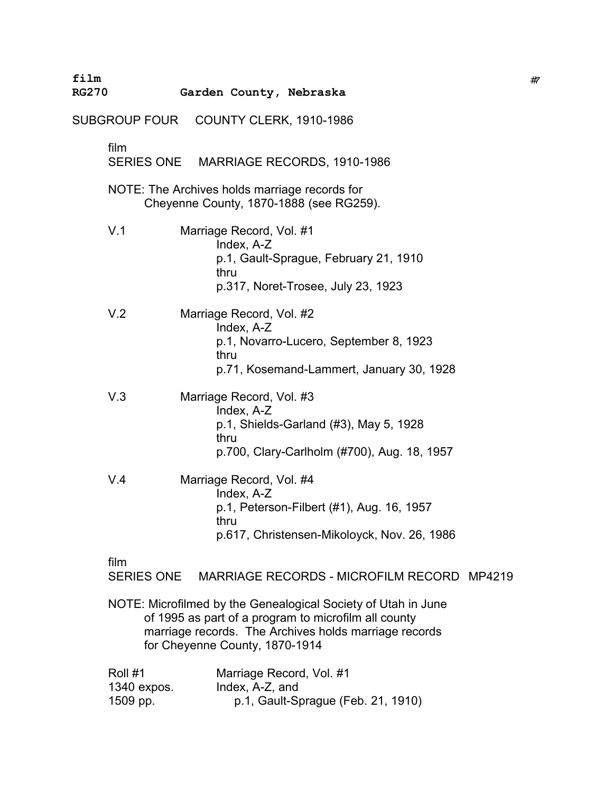| film<br><b>RG270</b> |                                    | Garden County, Nebraska                                                                                                                                                                                          | #7 |
|----------------------|------------------------------------|------------------------------------------------------------------------------------------------------------------------------------------------------------------------------------------------------------------|----|
|                      |                                    | SUBGROUP FOUR COUNTY CLERK, 1910-1986                                                                                                                                                                            |    |
|                      | film<br><b>SERIES ONE</b>          | MARRIAGE RECORDS, 1910-1986                                                                                                                                                                                      |    |
|                      |                                    | NOTE: The Archives holds marriage records for<br>Cheyenne County, 1870-1888 (see RG259).                                                                                                                         |    |
|                      | V.1                                | Marriage Record, Vol. #1<br>Index, A-Z<br>p.1, Gault-Sprague, February 21, 1910<br>thru<br>p.317, Noret-Trosee, July 23, 1923                                                                                    |    |
|                      | V.2                                | Marriage Record, Vol. #2<br>Index, A-Z<br>p.1, Novarro-Lucero, September 8, 1923<br>thru<br>p.71, Kosemand-Lammert, January 30, 1928                                                                             |    |
|                      | V.3                                | Marriage Record, Vol. #3<br>Index, A-Z<br>p.1, Shields-Garland (#3), May 5, 1928<br>thru<br>p.700, Clary-Carlholm (#700), Aug. 18, 1957                                                                          |    |
|                      | V.4                                | Marriage Record, Vol. #4<br>Index, A-Z<br>p.1, Peterson-Filbert (#1), Aug. 16, 1957<br>thru<br>p.617, Christensen-Mikoloyck, Nov. 26, 1986                                                                       |    |
|                      | film<br><b>SERIES ONE</b>          | MARRIAGE RECORDS - MICROFILM RECORD MP4219                                                                                                                                                                       |    |
|                      |                                    | NOTE: Microfilmed by the Genealogical Society of Utah in June<br>of 1995 as part of a program to microfilm all county<br>marriage records. The Archives holds marriage records<br>for Cheyenne County, 1870-1914 |    |
|                      | Roll #1<br>1340 expos.<br>1509 pp. | Marriage Record, Vol. #1<br>Index, A-Z, and<br>p.1, Gault-Sprague (Feb. 21, 1910)                                                                                                                                |    |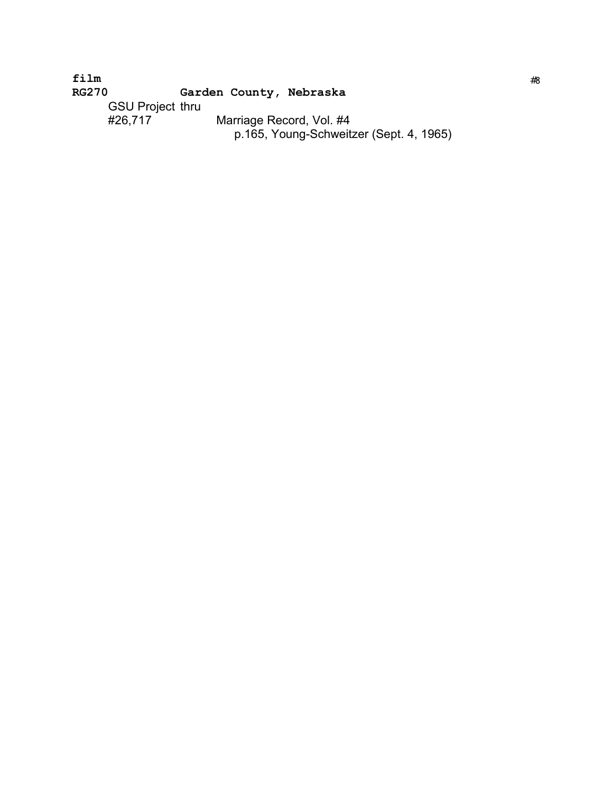**film** #<sup>8</sup> **RG270 Garden County, Nebraska** GSU Project thru � #26,717 Marriage Record, Vol. #4 � p.165, Young-Schweitzer (Sept. 4, 1965)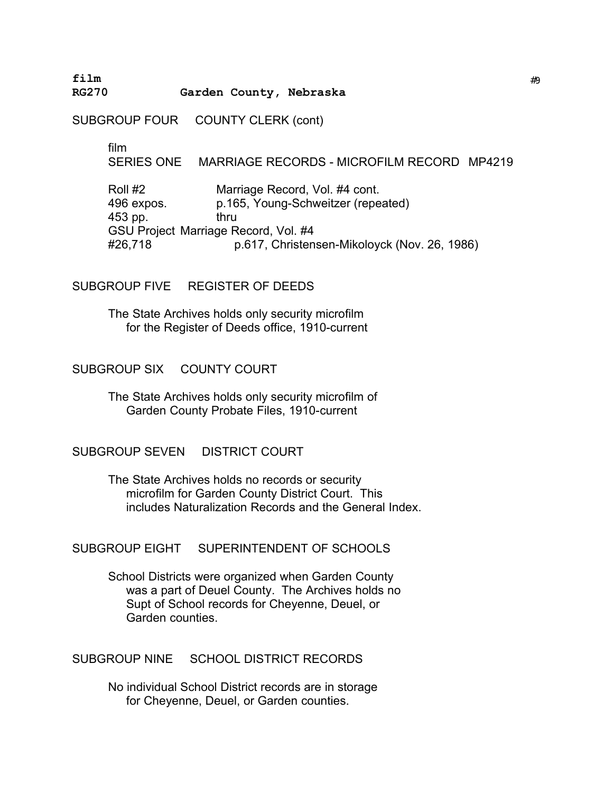**film** #<sup>9</sup> **RG270 Garden County, Nebraska** 

SUBGROUP FOUR COUNTY CLERK (cont)

film �

SERIES ONE MARRIAGE RECORDS - MICROFILM RECORD MP4219

Roll #2 Marriage Record, Vol. #4 cont. 496 expos. p.165, Young-Schweitzer (repeated) 453 pp. thru GSU Project Marriage Record, Vol. #4 #26,718 p.617, Christensen-Mikoloyck (Nov. 26, 1986)

SUBGROUP FIVE REGISTER OF DEEDS

The State Archives holds only security microfilm for the Register of Deeds office, 1910-current �

SUBGROUP SIX COUNTY COURT

The State Archives holds only security microfilm of � Garden County Probate Files, 1910-current �

SUBGROUP SEVEN DISTRICT COURT

The State Archives holds no records or security microfilm for Garden County District Court. This includes Naturalization Records and the General Index.

SUBGROUP EIGHT SUPERINTENDENT OF SCHOOLS

School Districts were organized when Garden County was a part of Deuel County. The Archives holds no Supt of School records for Cheyenne, Deuel, or Garden counties.

SUBGROUP NINE SCHOOL DISTRICT RECORDS

No individual School District records are in storage for Cheyenne, Deuel, or Garden counties.